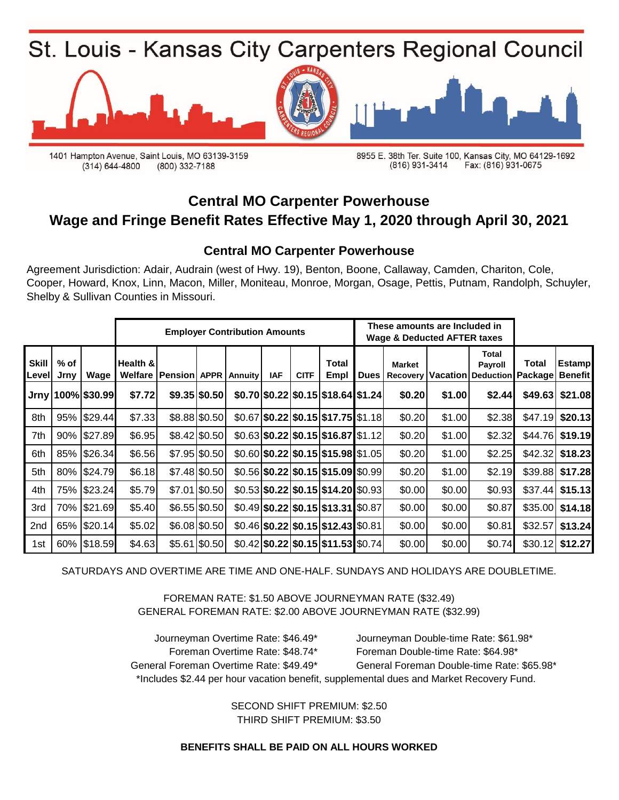

1401 Hampton Avenue, Saint Louis, MO 63139-3159  $(314) 644 - 4800$ (800) 332-7188

8955 E. 38th Ter. Suite 100, Kansas City, MO 64129-1692 (816) 931-3414 Fax: (816) 931-0675

### **Central MO Carpenter Powerhouse Wage and Fringe Benefit Rates Effective May 1, 2020 through April 30, 2021**

#### **Central MO Carpenter Powerhouse**

Agreement Jurisdiction: Adair, Audrain (west of Hwy. 19), Benton, Boone, Callaway, Camden, Chariton, Cole, Cooper, Howard, Knox, Linn, Macon, Miller, Moniteau, Monroe, Morgan, Osage, Pettis, Putnam, Randolph, Schuyler, Shelby & Sullivan Counties in Missouri.

|                 |                |                   | <b>Employer Contribution Amounts</b> |                                             |                 |  |            |             |                                              |             | These amounts are Included in<br><b>Wage &amp; Deducted AFTER taxes</b> |        |                                                               |          |                   |
|-----------------|----------------|-------------------|--------------------------------------|---------------------------------------------|-----------------|--|------------|-------------|----------------------------------------------|-------------|-------------------------------------------------------------------------|--------|---------------------------------------------------------------|----------|-------------------|
| Skill<br>Level  | $%$ of<br>Jrny | Wage              | Health &                             | <b>Welfare   Pension   APPR   Annuity  </b> |                 |  | <b>IAF</b> | <b>CITF</b> | Total<br>Empl                                | <b>Dues</b> | <b>Market</b><br>Recovery                                               |        | Total<br><b>Payroll</b><br>Vacation Deduction Package Benefit | Total    | <b>Estamp</b>     |
|                 |                | Jrny 100% \$30.99 | \$7.72                               |                                             | $$9.35$ \$0.50  |  |            |             | \$0.70 \$0.22 \$0.15 \$18.64 \$1.24]         |             | \$0.20                                                                  | \$1.00 | \$2.44                                                        | \$49.63  | \$21.08           |
| 8th             |                | 95% \$29.44       | \$7.33                               |                                             | \$8.88 \$0.50   |  |            |             | $$0.67$ $$0.22$ $$0.15$ $$17.75$ $$1.18$     |             | \$0.20                                                                  | \$1.00 | \$2.38                                                        |          | $$47.19$ $$20.13$ |
| 7th             |                | 90% \$27.89       | \$6.95                               |                                             | \$8.42 \$0.50   |  |            |             | $$0.63$ $$0.22$ $$0.15$ $$16.87$ $$1.12$     |             | \$0.20                                                                  | \$1.00 | \$2.32                                                        |          | $$44.76$ \$19.19  |
| 6th             |                | 85% \$26.34       | \$6.56                               |                                             | $$7.95$ \$0.50  |  |            |             | $$0.60$  \$0.22 \$0.15 \$15.98 \$1.05        |             | \$0.20                                                                  | \$1.00 | \$2.25                                                        | \$42.32  | \$18.23           |
| 5th             |                | 80% \$24.79       | \$6.18                               |                                             | \$7.48 \$0.50   |  |            |             | $$0.56$ $$0.22$ $$0.15$ $$15.09$ $$0.99$     |             | \$0.20                                                                  | \$1.00 | \$2.19                                                        | \$39.88  | \$17.28           |
| 4th             |                | 75% \$23.24       | \$5.79                               |                                             | \$7.01 \$0.50   |  |            |             | $$0.53$ $$0.22$ $$0.15$ $$14.20$ $$0.93$     |             | \$0.00                                                                  | \$0.00 | \$0.93                                                        | \$37.44] | \$15.13           |
| 3rd             |                | 70% \$21.69       | \$5.40                               |                                             | $$6.55$ \$0.50  |  |            |             | $$0.49$ \\$0.22 \\$0.15 \\$13.31 \\$0.87     |             | \$0.00                                                                  | \$0.00 | \$0.87                                                        | \$35.00  | \$14.18           |
| 2 <sub>nd</sub> |                | 65% \$20.14       | \$5.02                               |                                             | $$6.08$ $$0.50$ |  |            |             | $$0.46$ $$0.22$ $$0.15$ $$12.43$ $$0.81$     |             | \$0.00                                                                  | \$0.00 | \$0.81                                                        | \$32.57  | \$13.24           |
| 1st             |                | 60% \$18.59       | \$4.63                               |                                             | $$5.61$ \$0.50  |  |            |             | $$0.42$   \$0.22   \$0.15   \$11.53   \$0.74 |             | \$0.00                                                                  | \$0.00 | \$0.74                                                        | \$30.12  | \$12.27           |

SATURDAYS AND OVERTIME ARE TIME AND ONE-HALF. SUNDAYS AND HOLIDAYS ARE DOUBLETIME.

FOREMAN RATE: \$1.50 ABOVE JOURNEYMAN RATE (\$32.49) GENERAL FOREMAN RATE: \$2.00 ABOVE JOURNEYMAN RATE (\$32.99)

General Foreman Overtime Rate: \$49.49\* General Foreman Double-time Rate: \$65.98\* \*Includes \$2.44 per hour vacation benefit, supplemental dues and Market Recovery Fund. Journeyman Overtime Rate: \$46.49\* Journeyman Double-time Rate: \$61.98\* Foreman Overtime Rate: \$48.74\* Foreman Double-time Rate: \$64.98\*

> SECOND SHIFT PREMIUM: \$2.50 THIRD SHIFT PREMIUM: \$3.50

**BENEFITS SHALL BE PAID ON ALL HOURS WORKED**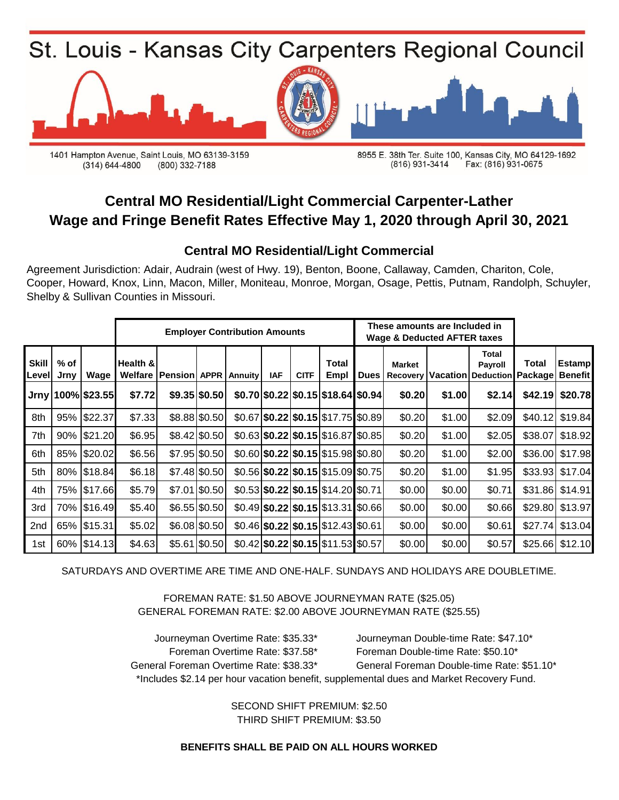

1401 Hampton Avenue, Saint Louis, MO 63139-3159 (314) 644-4800 (800) 332-7188

8955 E. 38th Ter. Suite 100, Kansas City, MO 64129-1692 Fax: (816) 931-0675 (816) 931-3414

# **Central MO Residential/Light Commercial Carpenter-Lather Wage and Fringe Benefit Rates Effective May 1, 2020 through April 30, 2021**

### **Central MO Residential/Light Commercial**

Agreement Jurisdiction: Adair, Audrain (west of Hwy. 19), Benton, Boone, Callaway, Camden, Chariton, Cole, Cooper, Howard, Knox, Linn, Macon, Miller, Moniteau, Monroe, Morgan, Osage, Pettis, Putnam, Randolph, Schuyler, Shelby & Sullivan Counties in Missouri.

|                 |                |                   |          |                                   |                 | <b>Employer Contribution Amounts</b> |            |             |                                              |             | These amounts are Included in<br><b>Wage &amp; Deducted AFTER taxes</b> |        |                                                               |       |                 |
|-----------------|----------------|-------------------|----------|-----------------------------------|-----------------|--------------------------------------|------------|-------------|----------------------------------------------|-------------|-------------------------------------------------------------------------|--------|---------------------------------------------------------------|-------|-----------------|
| Skill<br>Level  | $%$ of<br>Jrny | Wage              | Health & | <b>Welfare   Pension   APPR  </b> |                 | <b>Annuity</b>                       | <b>IAF</b> | <b>CITF</b> | <b>Total</b><br>Empl                         | <b>Dues</b> | <b>Market</b><br>Recovery                                               |        | Total<br><b>Payroll</b><br>Vacation Deduction Package Benefit | Total | <b>Estamp</b>   |
|                 |                | Jrny 100% \$23.55 | \$7.72   |                                   | $$9.35$ \$0.50  |                                      |            |             | \$0.70 \$0.22 \$0.15 \$18.64 \$0.94]         |             | \$0.20                                                                  | \$1.00 | \$2.14                                                        |       | \$42.19 \$20.78 |
| 8th             |                | 95% \$22.37       | \$7.33   |                                   | \$8.88 \$0.50   |                                      |            |             | $$0.67$ $$0.22$ $$0.15$ $$17.75$ $$0.89$     |             | \$0.20                                                                  | \$1.00 | \$2.09                                                        |       | \$40.12 \$19.84 |
| 7th             |                | 90% \$21.20       | \$6.95   |                                   | \$8.42 \$0.50   |                                      |            |             | $$0.63$ $$0.22$ $$0.15$ $$16.87$ $$0.85$     |             | \$0.20                                                                  | \$1.00 | \$2.05                                                        |       | \$38.07 \$18.92 |
| 6th             |                | 85% \$20.02       | \$6.56   |                                   | $$7.95$ \$0.50  |                                      |            |             | $$0.60$   \$0.22   \$0.15   \$15.98   \$0.80 |             | \$0.20                                                                  | \$1.00 | \$2.00                                                        |       | \$36.00 \$17.98 |
| 5th             |                | 80% \$18.84       | \$6.18   |                                   | \$7.48 \$0.50   |                                      |            |             | $$0.56$ $$0.22$ $$0.15$ $$15.09$ $$0.75$     |             | \$0.20                                                                  | \$1.00 | \$1.95                                                        |       | \$33.93 \$17.04 |
| 4th             |                | 75% \$17.66       | \$5.79   |                                   | \$7.01 \$0.50   |                                      |            |             | $$0.53$ $$0.22$ $$0.15$ $$14.20$ $$0.71$     |             | \$0.00                                                                  | \$0.00 | \$0.71                                                        |       | \$31.86 \$14.91 |
| 3rd             |                | 70% \$16.49       | \$5.40   |                                   | $$6.55$ $$0.50$ |                                      |            |             | $$0.49$ \\$0.22 \\$0.15 \\$13.31 \\$0.66     |             | \$0.00                                                                  | \$0.00 | \$0.66                                                        |       | \$29.80 \$13.97 |
| 2 <sub>nd</sub> |                | 65% \$15.31       | \$5.02   |                                   | \$6.08 \$0.50   |                                      |            |             | $$0.46$ $$0.22$ $$0.15$ $$12.43$ $$0.61$     |             | \$0.00                                                                  | \$0.00 | \$0.61                                                        |       | \$27.74 \$13.04 |
| 1st             |                | 60% \$14.13       | \$4.63   |                                   | $$5.61$ $$0.50$ |                                      |            |             | $$0.42$   \$0.22   \$0.15   \$11.53   \$0.57 |             | \$0.00                                                                  | \$0.00 | \$0.57                                                        |       | \$25.66 \$12.10 |

SATURDAYS AND OVERTIME ARE TIME AND ONE-HALF. SUNDAYS AND HOLIDAYS ARE DOUBLETIME.

FOREMAN RATE: \$1.50 ABOVE JOURNEYMAN RATE (\$25.05) GENERAL FOREMAN RATE: \$2.00 ABOVE JOURNEYMAN RATE (\$25.55)

Foreman Overtime Rate: \$37.58\* Foreman Double-time Rate: \$50.10\* General Foreman Overtime Rate: \$38.33\* General Foreman Double-time Rate: \$51.10\* \*Includes \$2.14 per hour vacation benefit, supplemental dues and Market Recovery Fund. Journeyman Overtime Rate: \$35.33\* Journeyman Double-time Rate: \$47.10\*

> THIRD SHIFT PREMIUM: \$3.50 SECOND SHIFT PREMIUM: \$2.50

**BENEFITS SHALL BE PAID ON ALL HOURS WORKED**